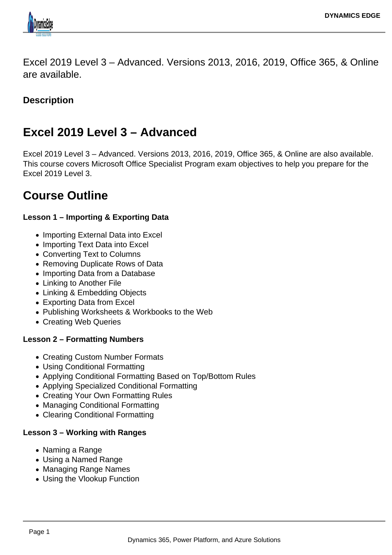

Excel 2019 Level 3 – Advanced. Versions 2013, 2016, 2019, Office 365, & Online are available.

# **Description**

# **Excel 2019 Level 3 – Advanced**

Excel 2019 Level 3 – Advanced. Versions 2013, 2016, 2019, Office 365, & Online are also available. This course covers Microsoft Office Specialist Program exam objectives to help you prepare for the Excel 2019 Level 3.

# **Course Outline**

# **Lesson 1 – Importing & Exporting Data**

- Importing External Data into Excel
- Importing Text Data into Excel
- Converting Text to Columns
- Removing Duplicate Rows of Data
- Importing Data from a Database
- Linking to Another File
- Linking & Embedding Objects
- Exporting Data from Excel
- Publishing Worksheets & Workbooks to the Web
- Creating Web Queries

# **Lesson 2 – Formatting Numbers**

- Creating Custom Number Formats
- Using Conditional Formatting
- Applying Conditional Formatting Based on Top/Bottom Rules
- Applying Specialized Conditional Formatting
- Creating Your Own Formatting Rules
- Managing Conditional Formatting
- Clearing Conditional Formatting

# **Lesson 3 – Working with Ranges**

- Naming a Range
- Using a Named Range
- Managing Range Names
- Using the Vlookup Function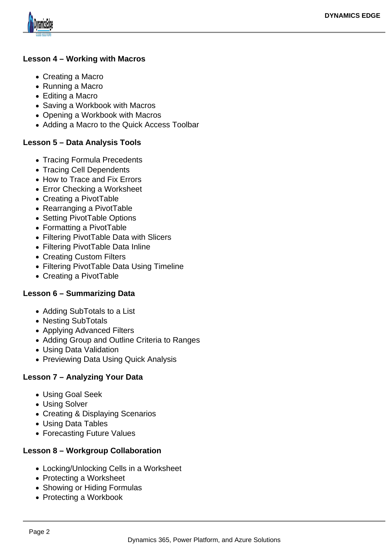

#### **Lesson 4 – Working with Macros**

- Creating a Macro
- Running a Macro
- Editing a Macro
- Saving a Workbook with Macros
- Opening a Workbook with Macros
- Adding a Macro to the Quick Access Toolbar

### **Lesson 5 – Data Analysis Tools**

- Tracing Formula Precedents
- Tracing Cell Dependents
- How to Trace and Fix Errors
- Error Checking a Worksheet
- Creating a PivotTable
- Rearranging a PivotTable
- Setting PivotTable Options
- Formatting a PivotTable
- Filtering PivotTable Data with Slicers
- Filtering PivotTable Data Inline
- Creating Custom Filters
- Filtering PivotTable Data Using Timeline
- Creating a PivotTable

# **Lesson 6 – Summarizing Data**

- Adding SubTotals to a List
- Nesting SubTotals
- Applying Advanced Filters
- Adding Group and Outline Criteria to Ranges
- Using Data Validation
- Previewing Data Using Quick Analysis

# **Lesson 7 – Analyzing Your Data**

- Using Goal Seek
- Using Solver
- Creating & Displaying Scenarios
- Using Data Tables
- Forecasting Future Values

# **Lesson 8 – Workgroup Collaboration**

- Locking/Unlocking Cells in a Worksheet
- Protecting a Worksheet
- Showing or Hiding Formulas
- Protecting a Workbook